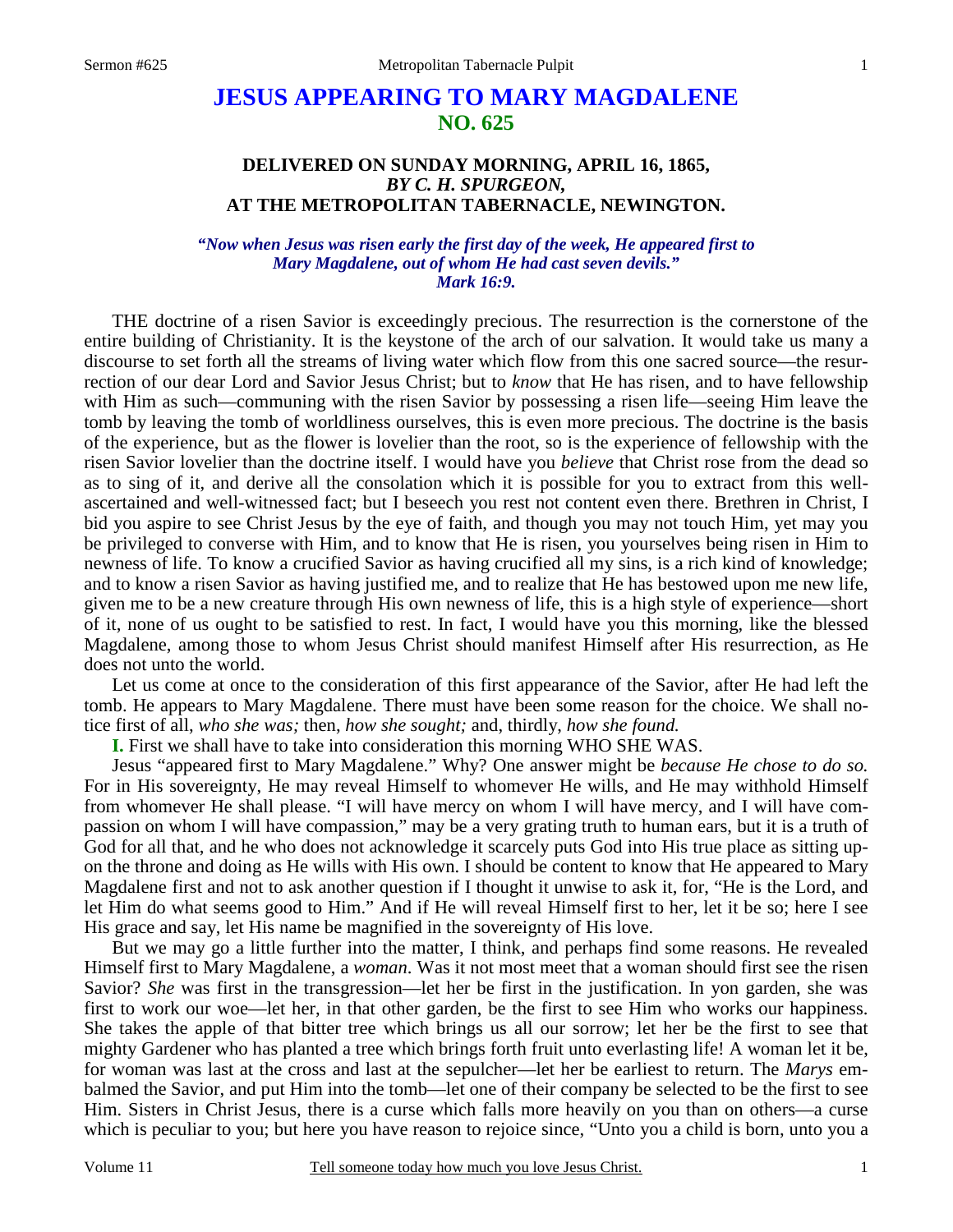# **JESUS APPEARING TO MARY MAGDALENE NO. 625**

## **DELIVERED ON SUNDAY MORNING, APRIL 16, 1865,**  *BY C. H. SPURGEON,*  **AT THE METROPOLITAN TABERNACLE, NEWINGTON.**

## *"Now when Jesus was risen early the first day of the week, He appeared first to Mary Magdalene, out of whom He had cast seven devils." Mark 16:9.*

 THE doctrine of a risen Savior is exceedingly precious. The resurrection is the cornerstone of the entire building of Christianity. It is the keystone of the arch of our salvation. It would take us many a discourse to set forth all the streams of living water which flow from this one sacred source—the resurrection of our dear Lord and Savior Jesus Christ; but to *know* that He has risen, and to have fellowship with Him as such—communing with the risen Savior by possessing a risen life—seeing Him leave the tomb by leaving the tomb of worldliness ourselves, this is even more precious. The doctrine is the basis of the experience, but as the flower is lovelier than the root, so is the experience of fellowship with the risen Savior lovelier than the doctrine itself. I would have you *believe* that Christ rose from the dead so as to sing of it, and derive all the consolation which it is possible for you to extract from this wellascertained and well-witnessed fact; but I beseech you rest not content even there. Brethren in Christ, I bid you aspire to see Christ Jesus by the eye of faith, and though you may not touch Him, yet may you be privileged to converse with Him, and to know that He is risen, you yourselves being risen in Him to newness of life. To know a crucified Savior as having crucified all my sins, is a rich kind of knowledge; and to know a risen Savior as having justified me, and to realize that He has bestowed upon me new life, given me to be a new creature through His own newness of life, this is a high style of experience—short of it, none of us ought to be satisfied to rest. In fact, I would have you this morning, like the blessed Magdalene, among those to whom Jesus Christ should manifest Himself after His resurrection, as He does not unto the world.

 Let us come at once to the consideration of this first appearance of the Savior, after He had left the tomb. He appears to Mary Magdalene. There must have been some reason for the choice. We shall notice first of all, *who she was;* then, *how she sought;* and, thirdly, *how she found.*

**I.** First we shall have to take into consideration this morning WHO SHE WAS.

 Jesus "appeared first to Mary Magdalene." Why? One answer might be *because He chose to do so.* For in His sovereignty, He may reveal Himself to whomever He wills, and He may withhold Himself from whomever He shall please. "I will have mercy on whom I will have mercy, and I will have compassion on whom I will have compassion," may be a very grating truth to human ears, but it is a truth of God for all that, and he who does not acknowledge it scarcely puts God into His true place as sitting upon the throne and doing as He wills with His own. I should be content to know that He appeared to Mary Magdalene first and not to ask another question if I thought it unwise to ask it, for, "He is the Lord, and let Him do what seems good to Him." And if He will reveal Himself first to her, let it be so; here I see His grace and say, let His name be magnified in the sovereignty of His love.

 But we may go a little further into the matter, I think, and perhaps find some reasons. He revealed Himself first to Mary Magdalene, a *woman*. Was it not most meet that a woman should first see the risen Savior? *She* was first in the transgression—let her be first in the justification. In yon garden, she was first to work our woe—let her, in that other garden, be the first to see Him who works our happiness. She takes the apple of that bitter tree which brings us all our sorrow; let her be the first to see that mighty Gardener who has planted a tree which brings forth fruit unto everlasting life! A woman let it be, for woman was last at the cross and last at the sepulcher—let her be earliest to return. The *Marys* embalmed the Savior, and put Him into the tomb—let one of their company be selected to be the first to see Him. Sisters in Christ Jesus, there is a curse which falls more heavily on you than on others—a curse which is peculiar to you; but here you have reason to rejoice since, "Unto you a child is born, unto you a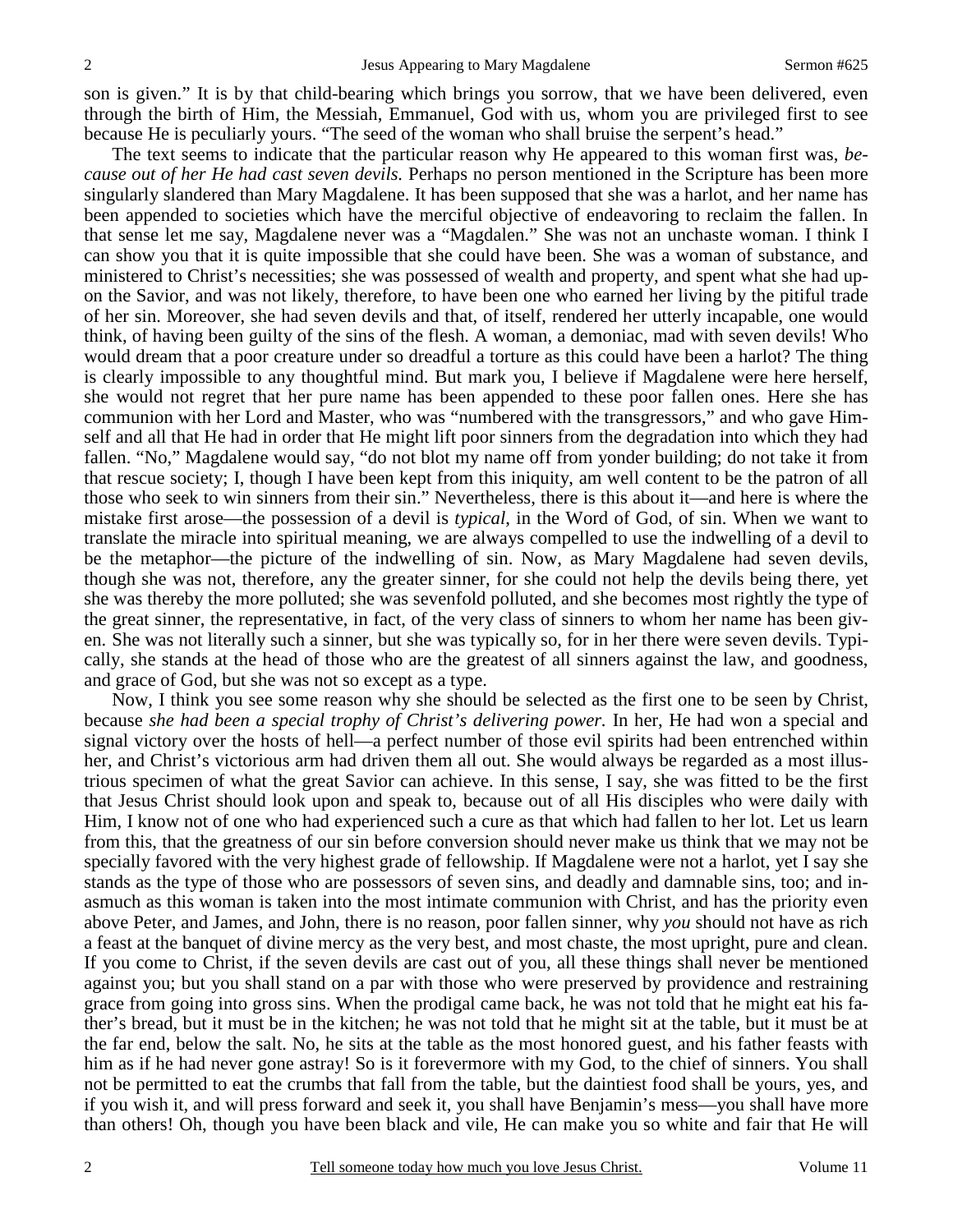son is given." It is by that child-bearing which brings you sorrow, that we have been delivered, even through the birth of Him, the Messiah, Emmanuel, God with us, whom you are privileged first to see because He is peculiarly yours. "The seed of the woman who shall bruise the serpent's head."

 The text seems to indicate that the particular reason why He appeared to this woman first was, *because out of her He had cast seven devils.* Perhaps no person mentioned in the Scripture has been more singularly slandered than Mary Magdalene. It has been supposed that she was a harlot, and her name has been appended to societies which have the merciful objective of endeavoring to reclaim the fallen. In that sense let me say, Magdalene never was a "Magdalen." She was not an unchaste woman. I think I can show you that it is quite impossible that she could have been. She was a woman of substance, and ministered to Christ's necessities; she was possessed of wealth and property, and spent what she had upon the Savior, and was not likely, therefore, to have been one who earned her living by the pitiful trade of her sin. Moreover, she had seven devils and that, of itself, rendered her utterly incapable, one would think, of having been guilty of the sins of the flesh. A woman, a demoniac, mad with seven devils! Who would dream that a poor creature under so dreadful a torture as this could have been a harlot? The thing is clearly impossible to any thoughtful mind. But mark you, I believe if Magdalene were here herself, she would not regret that her pure name has been appended to these poor fallen ones. Here she has communion with her Lord and Master, who was "numbered with the transgressors," and who gave Himself and all that He had in order that He might lift poor sinners from the degradation into which they had fallen. "No," Magdalene would say, "do not blot my name off from yonder building; do not take it from that rescue society; I, though I have been kept from this iniquity, am well content to be the patron of all those who seek to win sinners from their sin." Nevertheless, there is this about it—and here is where the mistake first arose—the possession of a devil is *typical*, in the Word of God, of sin. When we want to translate the miracle into spiritual meaning, we are always compelled to use the indwelling of a devil to be the metaphor—the picture of the indwelling of sin. Now, as Mary Magdalene had seven devils, though she was not, therefore, any the greater sinner, for she could not help the devils being there, yet she was thereby the more polluted; she was sevenfold polluted, and she becomes most rightly the type of the great sinner, the representative, in fact, of the very class of sinners to whom her name has been given. She was not literally such a sinner, but she was typically so, for in her there were seven devils. Typically, she stands at the head of those who are the greatest of all sinners against the law, and goodness, and grace of God, but she was not so except as a type.

 Now, I think you see some reason why she should be selected as the first one to be seen by Christ, because *she had been a special trophy of Christ's delivering power.* In her, He had won a special and signal victory over the hosts of hell—a perfect number of those evil spirits had been entrenched within her, and Christ's victorious arm had driven them all out. She would always be regarded as a most illustrious specimen of what the great Savior can achieve. In this sense, I say, she was fitted to be the first that Jesus Christ should look upon and speak to, because out of all His disciples who were daily with Him, I know not of one who had experienced such a cure as that which had fallen to her lot. Let us learn from this, that the greatness of our sin before conversion should never make us think that we may not be specially favored with the very highest grade of fellowship. If Magdalene were not a harlot, yet I say she stands as the type of those who are possessors of seven sins, and deadly and damnable sins, too; and inasmuch as this woman is taken into the most intimate communion with Christ, and has the priority even above Peter, and James, and John, there is no reason, poor fallen sinner, why *you* should not have as rich a feast at the banquet of divine mercy as the very best, and most chaste, the most upright, pure and clean. If you come to Christ, if the seven devils are cast out of you, all these things shall never be mentioned against you; but you shall stand on a par with those who were preserved by providence and restraining grace from going into gross sins. When the prodigal came back, he was not told that he might eat his father's bread, but it must be in the kitchen; he was not told that he might sit at the table, but it must be at the far end, below the salt. No, he sits at the table as the most honored guest, and his father feasts with him as if he had never gone astray! So is it forevermore with my God, to the chief of sinners. You shall not be permitted to eat the crumbs that fall from the table, but the daintiest food shall be yours, yes, and if you wish it, and will press forward and seek it, you shall have Benjamin's mess—you shall have more than others! Oh, though you have been black and vile, He can make you so white and fair that He will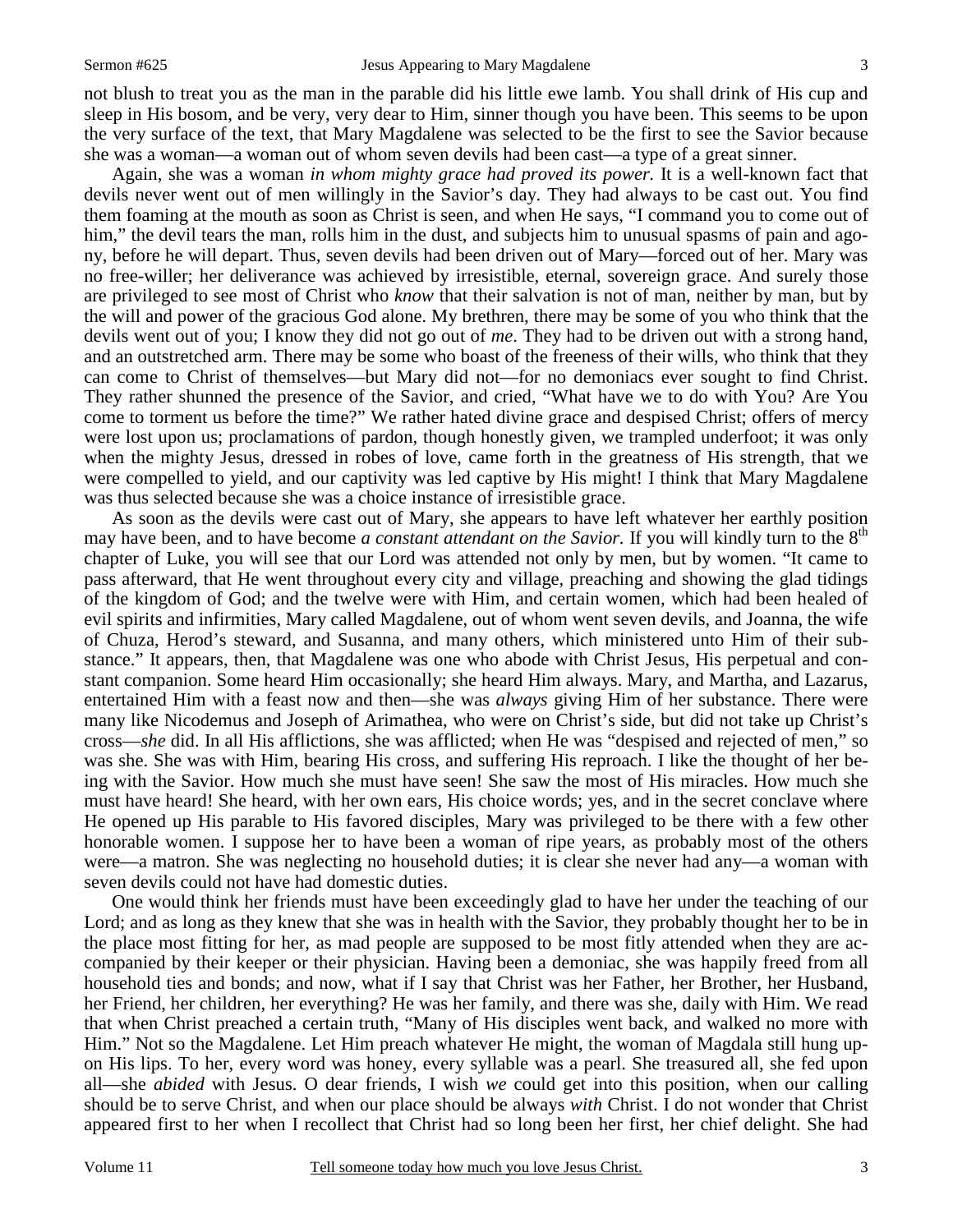3

not blush to treat you as the man in the parable did his little ewe lamb. You shall drink of His cup and sleep in His bosom, and be very, very dear to Him, sinner though you have been. This seems to be upon the very surface of the text, that Mary Magdalene was selected to be the first to see the Savior because she was a woman—a woman out of whom seven devils had been cast—a type of a great sinner.

 Again, she was a woman *in whom mighty grace had proved its power.* It is a well-known fact that devils never went out of men willingly in the Savior's day. They had always to be cast out. You find them foaming at the mouth as soon as Christ is seen, and when He says, "I command you to come out of him," the devil tears the man, rolls him in the dust, and subjects him to unusual spasms of pain and agony, before he will depart. Thus, seven devils had been driven out of Mary—forced out of her. Mary was no free-willer; her deliverance was achieved by irresistible, eternal, sovereign grace. And surely those are privileged to see most of Christ who *know* that their salvation is not of man, neither by man, but by the will and power of the gracious God alone. My brethren, there may be some of you who think that the devils went out of you; I know they did not go out of *me*. They had to be driven out with a strong hand, and an outstretched arm. There may be some who boast of the freeness of their wills, who think that they can come to Christ of themselves—but Mary did not—for no demoniacs ever sought to find Christ. They rather shunned the presence of the Savior, and cried, "What have we to do with You? Are You come to torment us before the time?" We rather hated divine grace and despised Christ; offers of mercy were lost upon us; proclamations of pardon, though honestly given, we trampled underfoot; it was only when the mighty Jesus, dressed in robes of love, came forth in the greatness of His strength, that we were compelled to yield, and our captivity was led captive by His might! I think that Mary Magdalene was thus selected because she was a choice instance of irresistible grace.

 As soon as the devils were cast out of Mary, she appears to have left whatever her earthly position may have been, and to have become *a constant attendant on the Savior*. If you will kindly turn to the 8<sup>th</sup> chapter of Luke, you will see that our Lord was attended not only by men, but by women. "It came to pass afterward, that He went throughout every city and village, preaching and showing the glad tidings of the kingdom of God; and the twelve were with Him, and certain women, which had been healed of evil spirits and infirmities, Mary called Magdalene, out of whom went seven devils, and Joanna, the wife of Chuza, Herod's steward, and Susanna, and many others, which ministered unto Him of their substance." It appears, then, that Magdalene was one who abode with Christ Jesus, His perpetual and constant companion. Some heard Him occasionally; she heard Him always. Mary, and Martha, and Lazarus, entertained Him with a feast now and then—she was *always* giving Him of her substance. There were many like Nicodemus and Joseph of Arimathea, who were on Christ's side, but did not take up Christ's cross—*she* did. In all His afflictions, she was afflicted; when He was "despised and rejected of men," so was she. She was with Him, bearing His cross, and suffering His reproach. I like the thought of her being with the Savior. How much she must have seen! She saw the most of His miracles. How much she must have heard! She heard, with her own ears, His choice words; yes, and in the secret conclave where He opened up His parable to His favored disciples, Mary was privileged to be there with a few other honorable women. I suppose her to have been a woman of ripe years, as probably most of the others were—a matron. She was neglecting no household duties; it is clear she never had any—a woman with seven devils could not have had domestic duties.

 One would think her friends must have been exceedingly glad to have her under the teaching of our Lord; and as long as they knew that she was in health with the Savior, they probably thought her to be in the place most fitting for her, as mad people are supposed to be most fitly attended when they are accompanied by their keeper or their physician. Having been a demoniac, she was happily freed from all household ties and bonds; and now, what if I say that Christ was her Father, her Brother, her Husband, her Friend, her children, her everything? He was her family, and there was she, daily with Him. We read that when Christ preached a certain truth, "Many of His disciples went back, and walked no more with Him." Not so the Magdalene. Let Him preach whatever He might, the woman of Magdala still hung upon His lips. To her, every word was honey, every syllable was a pearl. She treasured all, she fed upon all—she *abided* with Jesus. O dear friends, I wish *we* could get into this position, when our calling should be to serve Christ, and when our place should be always *with* Christ. I do not wonder that Christ appeared first to her when I recollect that Christ had so long been her first, her chief delight. She had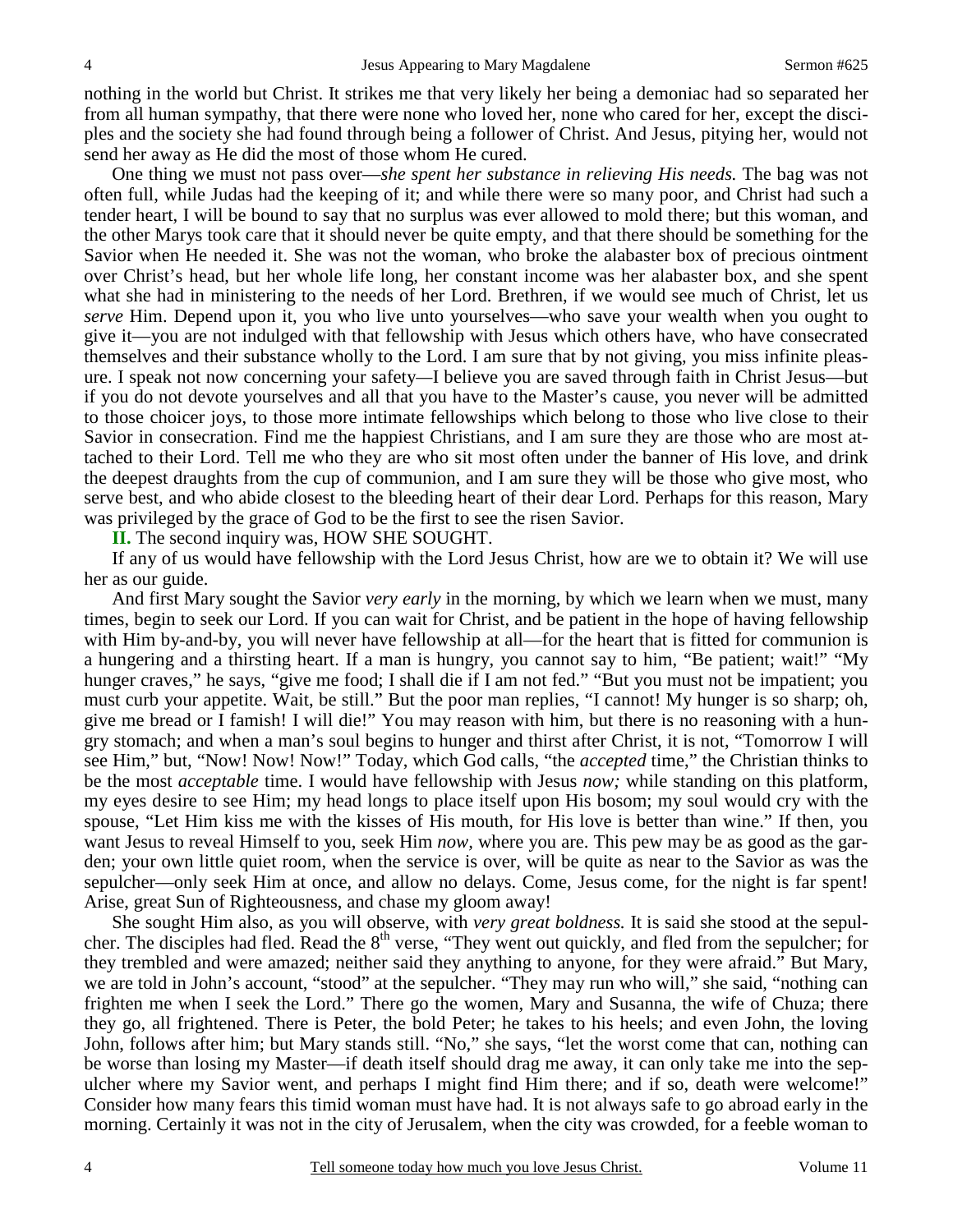nothing in the world but Christ. It strikes me that very likely her being a demoniac had so separated her from all human sympathy, that there were none who loved her, none who cared for her, except the disciples and the society she had found through being a follower of Christ. And Jesus, pitying her, would not send her away as He did the most of those whom He cured.

 One thing we must not pass over—*she spent her substance in relieving His needs.* The bag was not often full, while Judas had the keeping of it; and while there were so many poor, and Christ had such a tender heart, I will be bound to say that no surplus was ever allowed to mold there; but this woman, and the other Marys took care that it should never be quite empty, and that there should be something for the Savior when He needed it. She was not the woman, who broke the alabaster box of precious ointment over Christ's head, but her whole life long, her constant income was her alabaster box, and she spent what she had in ministering to the needs of her Lord. Brethren, if we would see much of Christ, let us *serve* Him. Depend upon it, you who live unto yourselves—who save your wealth when you ought to give it—you are not indulged with that fellowship with Jesus which others have, who have consecrated themselves and their substance wholly to the Lord. I am sure that by not giving, you miss infinite pleasure. I speak not now concerning your safety*—*I believe you are saved through faith in Christ Jesus—but if you do not devote yourselves and all that you have to the Master's cause, you never will be admitted to those choicer joys, to those more intimate fellowships which belong to those who live close to their Savior in consecration. Find me the happiest Christians, and I am sure they are those who are most attached to their Lord. Tell me who they are who sit most often under the banner of His love, and drink the deepest draughts from the cup of communion, and I am sure they will be those who give most, who serve best, and who abide closest to the bleeding heart of their dear Lord. Perhaps for this reason, Mary was privileged by the grace of God to be the first to see the risen Savior.

 **II.** The second inquiry was, HOW SHE SOUGHT.

 If any of us would have fellowship with the Lord Jesus Christ, how are we to obtain it? We will use her as our guide.

 And first Mary sought the Savior *very early* in the morning, by which we learn when we must, many times, begin to seek our Lord. If you can wait for Christ, and be patient in the hope of having fellowship with Him by-and-by, you will never have fellowship at all—for the heart that is fitted for communion is a hungering and a thirsting heart. If a man is hungry, you cannot say to him, "Be patient; wait!" "My hunger craves," he says, "give me food; I shall die if I am not fed." "But you must not be impatient; you must curb your appetite. Wait, be still." But the poor man replies, "I cannot! My hunger is so sharp; oh, give me bread or I famish! I will die!" You may reason with him, but there is no reasoning with a hungry stomach; and when a man's soul begins to hunger and thirst after Christ, it is not, "Tomorrow I will see Him," but, "Now! Now! Now!" Today, which God calls, "the *accepted* time," the Christian thinks to be the most *acceptable* time. I would have fellowship with Jesus *now;* while standing on this platform, my eyes desire to see Him; my head longs to place itself upon His bosom; my soul would cry with the spouse, "Let Him kiss me with the kisses of His mouth, for His love is better than wine." If then, you want Jesus to reveal Himself to you, seek Him *now,* where you are. This pew may be as good as the garden; your own little quiet room, when the service is over, will be quite as near to the Savior as was the sepulcher—only seek Him at once, and allow no delays. Come, Jesus come, for the night is far spent! Arise, great Sun of Righteousness, and chase my gloom away!

 She sought Him also, as you will observe, with *very great boldness.* It is said she stood at the sepulcher. The disciples had fled. Read the  $8<sup>th</sup>$  verse, "They went out quickly, and fled from the sepulcher; for they trembled and were amazed; neither said they anything to anyone, for they were afraid." But Mary, we are told in John's account, "stood" at the sepulcher. "They may run who will," she said, "nothing can frighten me when I seek the Lord." There go the women, Mary and Susanna, the wife of Chuza; there they go, all frightened. There is Peter, the bold Peter; he takes to his heels; and even John, the loving John, follows after him; but Mary stands still. "No," she says, "let the worst come that can, nothing can be worse than losing my Master—if death itself should drag me away, it can only take me into the sepulcher where my Savior went, and perhaps I might find Him there; and if so, death were welcome!" Consider how many fears this timid woman must have had. It is not always safe to go abroad early in the morning. Certainly it was not in the city of Jerusalem, when the city was crowded, for a feeble woman to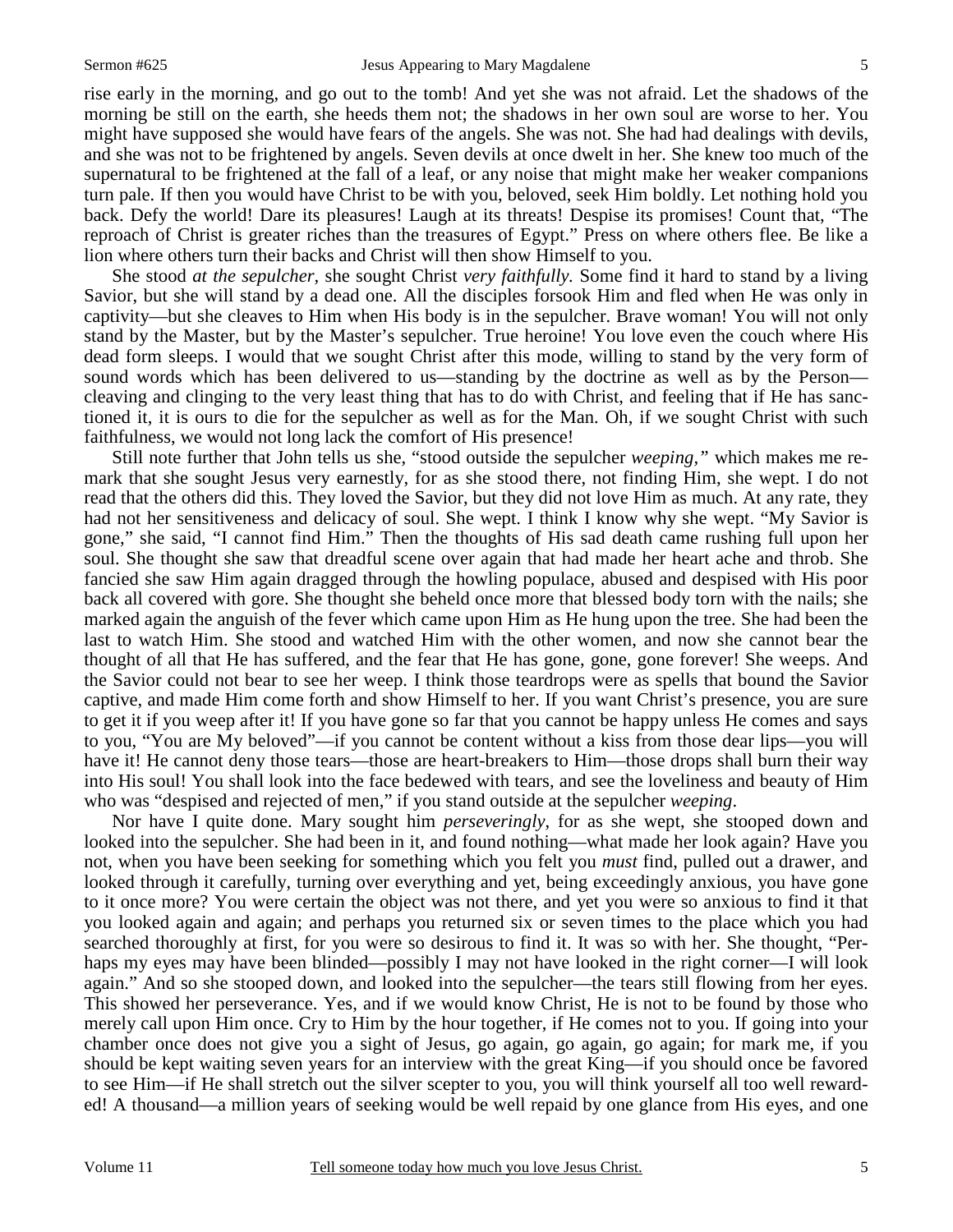rise early in the morning, and go out to the tomb! And yet she was not afraid. Let the shadows of the morning be still on the earth, she heeds them not; the shadows in her own soul are worse to her. You might have supposed she would have fears of the angels. She was not. She had had dealings with devils, and she was not to be frightened by angels. Seven devils at once dwelt in her. She knew too much of the supernatural to be frightened at the fall of a leaf, or any noise that might make her weaker companions turn pale. If then you would have Christ to be with you, beloved, seek Him boldly. Let nothing hold you back. Defy the world! Dare its pleasures! Laugh at its threats! Despise its promises! Count that, "The reproach of Christ is greater riches than the treasures of Egypt." Press on where others flee. Be like a lion where others turn their backs and Christ will then show Himself to you.

 She stood *at the sepulcher,* she sought Christ *very faithfully.* Some find it hard to stand by a living Savior, but she will stand by a dead one. All the disciples forsook Him and fled when He was only in captivity—but she cleaves to Him when His body is in the sepulcher. Brave woman! You will not only stand by the Master, but by the Master's sepulcher. True heroine! You love even the couch where His dead form sleeps. I would that we sought Christ after this mode, willing to stand by the very form of sound words which has been delivered to us—standing by the doctrine as well as by the Person cleaving and clinging to the very least thing that has to do with Christ, and feeling that if He has sanctioned it, it is ours to die for the sepulcher as well as for the Man. Oh, if we sought Christ with such faithfulness, we would not long lack the comfort of His presence!

 Still note further that John tells us she, "stood outside the sepulcher *weeping,"* which makes me remark that she sought Jesus very earnestly, for as she stood there, not finding Him, she wept. I do not read that the others did this. They loved the Savior, but they did not love Him as much. At any rate, they had not her sensitiveness and delicacy of soul. She wept. I think I know why she wept. "My Savior is gone," she said, "I cannot find Him." Then the thoughts of His sad death came rushing full upon her soul. She thought she saw that dreadful scene over again that had made her heart ache and throb. She fancied she saw Him again dragged through the howling populace, abused and despised with His poor back all covered with gore. She thought she beheld once more that blessed body torn with the nails; she marked again the anguish of the fever which came upon Him as He hung upon the tree. She had been the last to watch Him. She stood and watched Him with the other women, and now she cannot bear the thought of all that He has suffered, and the fear that He has gone, gone, gone forever! She weeps. And the Savior could not bear to see her weep. I think those teardrops were as spells that bound the Savior captive, and made Him come forth and show Himself to her. If you want Christ's presence, you are sure to get it if you weep after it! If you have gone so far that you cannot be happy unless He comes and says to you, "You are My beloved"—if you cannot be content without a kiss from those dear lips—you will have it! He cannot deny those tears—those are heart-breakers to Him—those drops shall burn their way into His soul! You shall look into the face bedewed with tears, and see the loveliness and beauty of Him who was "despised and rejected of men," if you stand outside at the sepulcher *weeping*.

 Nor have I quite done. Mary sought him *perseveringly*, for as she wept, she stooped down and looked into the sepulcher. She had been in it, and found nothing—what made her look again? Have you not, when you have been seeking for something which you felt you *must* find, pulled out a drawer, and looked through it carefully, turning over everything and yet, being exceedingly anxious, you have gone to it once more? You were certain the object was not there, and yet you were so anxious to find it that you looked again and again; and perhaps you returned six or seven times to the place which you had searched thoroughly at first, for you were so desirous to find it. It was so with her. She thought, "Perhaps my eyes may have been blinded—possibly I may not have looked in the right corner—I will look again." And so she stooped down, and looked into the sepulcher—the tears still flowing from her eyes. This showed her perseverance. Yes, and if we would know Christ, He is not to be found by those who merely call upon Him once. Cry to Him by the hour together, if He comes not to you. If going into your chamber once does not give you a sight of Jesus, go again, go again, go again; for mark me, if you should be kept waiting seven years for an interview with the great King—if you should once be favored to see Him—if He shall stretch out the silver scepter to you, you will think yourself all too well rewarded! A thousand—a million years of seeking would be well repaid by one glance from His eyes, and one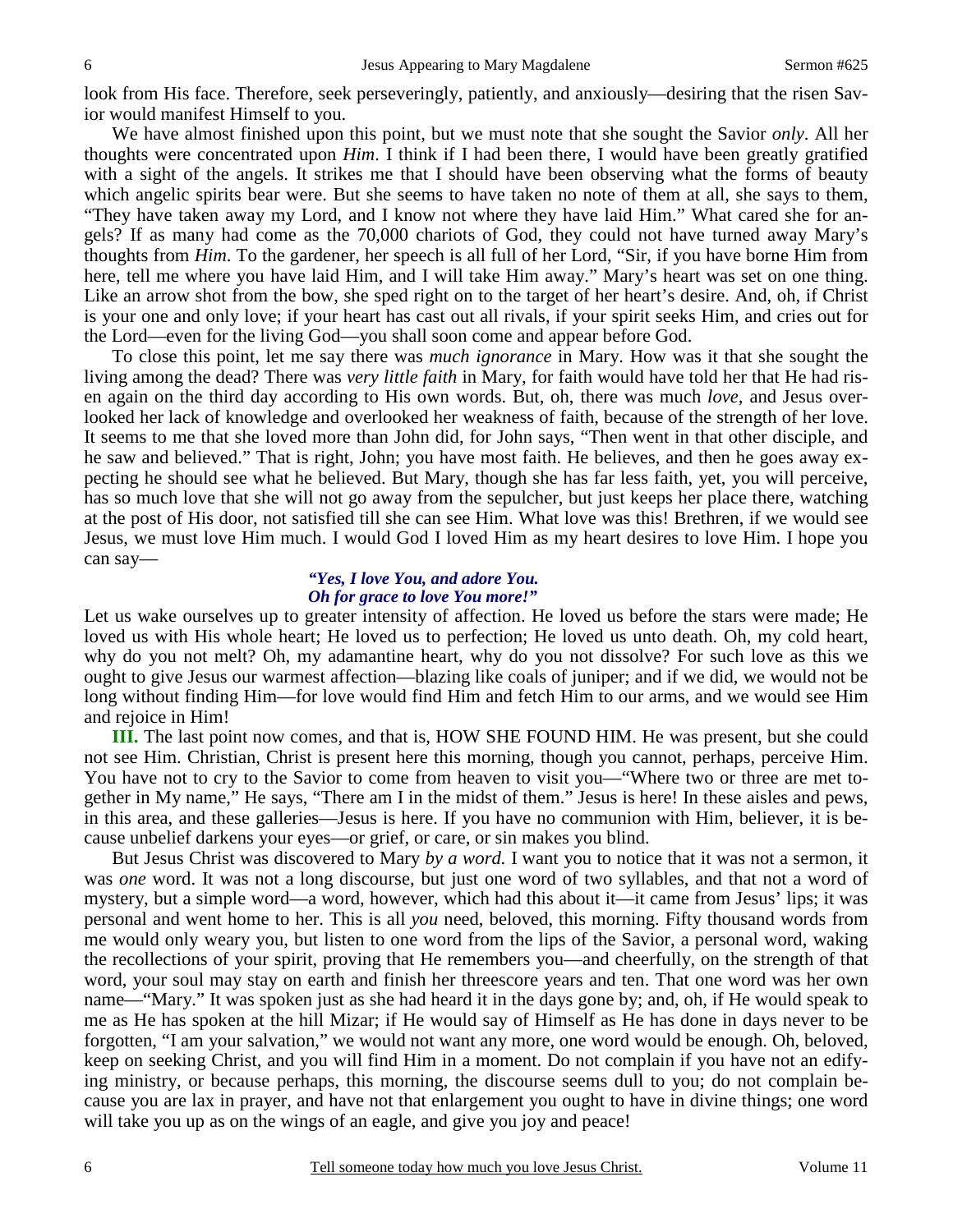look from His face. Therefore, seek perseveringly, patiently, and anxiously—desiring that the risen Savior would manifest Himself to you.

 We have almost finished upon this point, but we must note that she sought the Savior *only*. All her thoughts were concentrated upon *Him*. I think if I had been there, I would have been greatly gratified with a sight of the angels. It strikes me that I should have been observing what the forms of beauty which angelic spirits bear were. But she seems to have taken no note of them at all, she says to them, "They have taken away my Lord, and I know not where they have laid Him." What cared she for angels? If as many had come as the 70,000 chariots of God, they could not have turned away Mary's thoughts from *Him*. To the gardener, her speech is all full of her Lord, "Sir, if you have borne Him from here, tell me where you have laid Him, and I will take Him away." Mary's heart was set on one thing. Like an arrow shot from the bow, she sped right on to the target of her heart's desire. And, oh, if Christ is your one and only love; if your heart has cast out all rivals, if your spirit seeks Him, and cries out for the Lord—even for the living God—you shall soon come and appear before God.

 To close this point, let me say there was *much ignorance* in Mary. How was it that she sought the living among the dead? There was *very little faith* in Mary, for faith would have told her that He had risen again on the third day according to His own words. But, oh, there was much *love,* and Jesus overlooked her lack of knowledge and overlooked her weakness of faith, because of the strength of her love. It seems to me that she loved more than John did, for John says, "Then went in that other disciple, and he saw and believed." That is right, John; you have most faith. He believes, and then he goes away expecting he should see what he believed. But Mary, though she has far less faith, yet, you will perceive, has so much love that she will not go away from the sepulcher, but just keeps her place there, watching at the post of His door, not satisfied till she can see Him. What love was this! Brethren, if we would see Jesus, we must love Him much. I would God I loved Him as my heart desires to love Him. I hope you can say—

#### *"Yes, I love You, and adore You. Oh for grace to love You more!"*

Let us wake ourselves up to greater intensity of affection. He loved us before the stars were made; He loved us with His whole heart; He loved us to perfection; He loved us unto death. Oh, my cold heart, why do you not melt? Oh, my adamantine heart, why do you not dissolve? For such love as this we ought to give Jesus our warmest affection—blazing like coals of juniper; and if we did, we would not be long without finding Him—for love would find Him and fetch Him to our arms, and we would see Him and rejoice in Him!

**III.** The last point now comes, and that is, HOW SHE FOUND HIM. He was present, but she could not see Him. Christian, Christ is present here this morning, though you cannot, perhaps, perceive Him. You have not to cry to the Savior to come from heaven to visit you—"Where two or three are met together in My name," He says, "There am I in the midst of them." Jesus is here! In these aisles and pews, in this area, and these galleries—Jesus is here. If you have no communion with Him, believer, it is because unbelief darkens your eyes—or grief, or care, or sin makes you blind.

 But Jesus Christ was discovered to Mary *by a word.* I want you to notice that it was not a sermon, it was *one* word. It was not a long discourse, but just one word of two syllables, and that not a word of mystery, but a simple word—a word, however, which had this about it—it came from Jesus' lips; it was personal and went home to her. This is all *you* need, beloved, this morning. Fifty thousand words from me would only weary you, but listen to one word from the lips of the Savior, a personal word, waking the recollections of your spirit, proving that He remembers you—and cheerfully, on the strength of that word, your soul may stay on earth and finish her threescore years and ten. That one word was her own name—"Mary." It was spoken just as she had heard it in the days gone by; and, oh, if He would speak to me as He has spoken at the hill Mizar; if He would say of Himself as He has done in days never to be forgotten, "I am your salvation," we would not want any more, one word would be enough. Oh, beloved, keep on seeking Christ, and you will find Him in a moment. Do not complain if you have not an edifying ministry, or because perhaps, this morning, the discourse seems dull to you; do not complain because you are lax in prayer, and have not that enlargement you ought to have in divine things; one word will take you up as on the wings of an eagle, and give you joy and peace!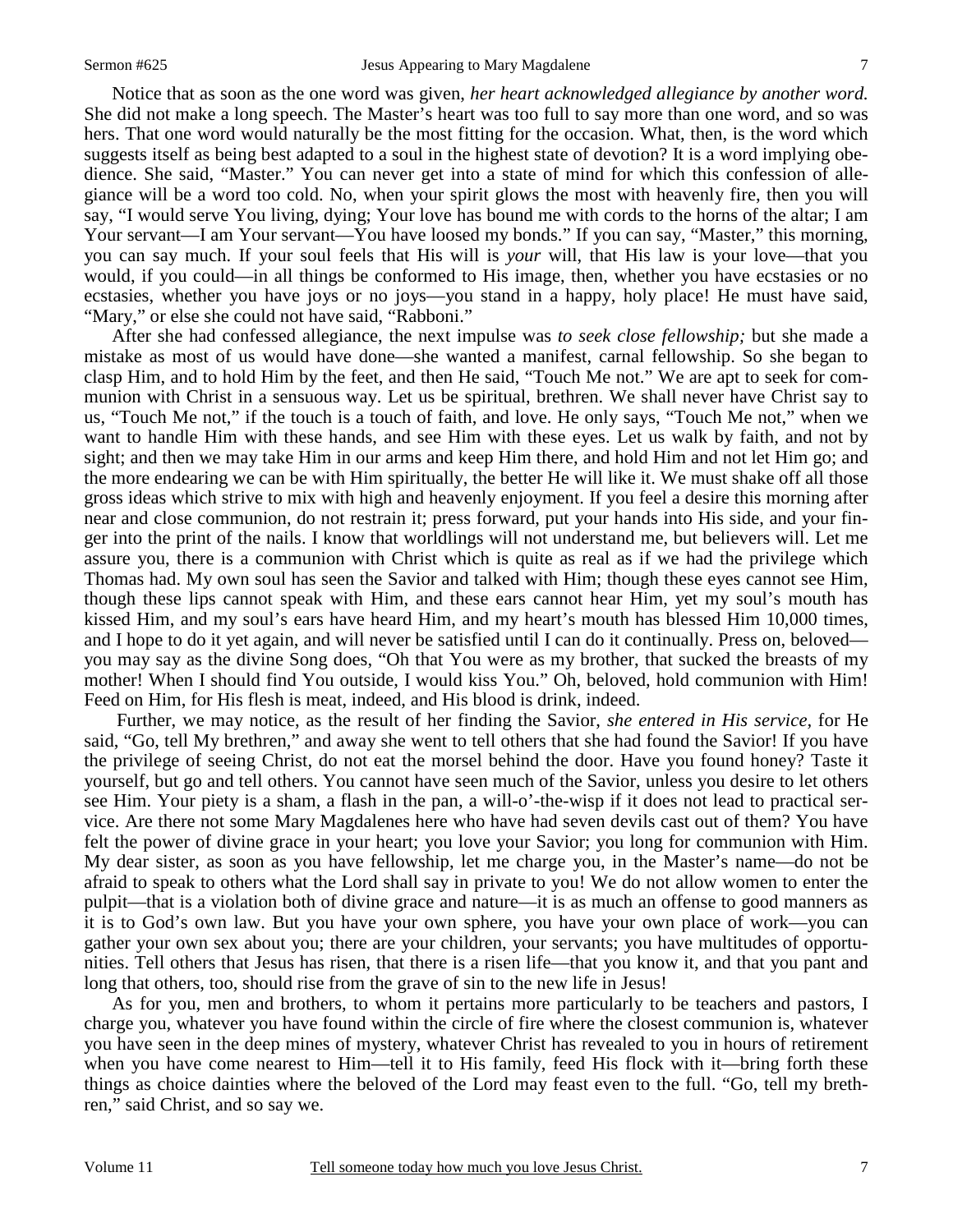Notice that as soon as the one word was given, *her heart acknowledged allegiance by another word.* She did not make a long speech. The Master's heart was too full to say more than one word, and so was hers. That one word would naturally be the most fitting for the occasion. What, then, is the word which suggests itself as being best adapted to a soul in the highest state of devotion? It is a word implying obedience. She said, "Master." You can never get into a state of mind for which this confession of allegiance will be a word too cold. No, when your spirit glows the most with heavenly fire, then you will say, "I would serve You living, dying; Your love has bound me with cords to the horns of the altar; I am Your servant—I am Your servant—You have loosed my bonds." If you can say, "Master," this morning, you can say much. If your soul feels that His will is *your* will, that His law is your love—that you would, if you could—in all things be conformed to His image, then, whether you have ecstasies or no ecstasies, whether you have joys or no joys—you stand in a happy, holy place! He must have said, "Mary," or else she could not have said, "Rabboni."

 After she had confessed allegiance, the next impulse was *to seek close fellowship;* but she made a mistake as most of us would have done—she wanted a manifest, carnal fellowship. So she began to clasp Him, and to hold Him by the feet, and then He said, "Touch Me not." We are apt to seek for communion with Christ in a sensuous way. Let us be spiritual, brethren. We shall never have Christ say to us, "Touch Me not," if the touch is a touch of faith, and love. He only says, "Touch Me not," when we want to handle Him with these hands, and see Him with these eyes. Let us walk by faith, and not by sight; and then we may take Him in our arms and keep Him there, and hold Him and not let Him go; and the more endearing we can be with Him spiritually, the better He will like it. We must shake off all those gross ideas which strive to mix with high and heavenly enjoyment. If you feel a desire this morning after near and close communion, do not restrain it; press forward, put your hands into His side, and your finger into the print of the nails. I know that worldlings will not understand me, but believers will. Let me assure you, there is a communion with Christ which is quite as real as if we had the privilege which Thomas had. My own soul has seen the Savior and talked with Him; though these eyes cannot see Him, though these lips cannot speak with Him, and these ears cannot hear Him, yet my soul's mouth has kissed Him, and my soul's ears have heard Him, and my heart's mouth has blessed Him 10,000 times, and I hope to do it yet again, and will never be satisfied until I can do it continually. Press on, beloved you may say as the divine Song does, "Oh that You were as my brother, that sucked the breasts of my mother! When I should find You outside, I would kiss You." Oh, beloved, hold communion with Him! Feed on Him, for His flesh is meat, indeed, and His blood is drink, indeed.

 Further, we may notice, as the result of her finding the Savior, *she entered in His service,* for He said, "Go, tell My brethren," and away she went to tell others that she had found the Savior! If you have the privilege of seeing Christ, do not eat the morsel behind the door. Have you found honey? Taste it yourself, but go and tell others. You cannot have seen much of the Savior, unless you desire to let others see Him. Your piety is a sham, a flash in the pan, a will-o'-the-wisp if it does not lead to practical service. Are there not some Mary Magdalenes here who have had seven devils cast out of them? You have felt the power of divine grace in your heart; you love your Savior; you long for communion with Him. My dear sister, as soon as you have fellowship, let me charge you, in the Master's name—do not be afraid to speak to others what the Lord shall say in private to you! We do not allow women to enter the pulpit—that is a violation both of divine grace and nature—it is as much an offense to good manners as it is to God's own law. But you have your own sphere, you have your own place of work—you can gather your own sex about you; there are your children, your servants; you have multitudes of opportunities. Tell others that Jesus has risen, that there is a risen life—that you know it, and that you pant and long that others, too, should rise from the grave of sin to the new life in Jesus!

 As for you, men and brothers, to whom it pertains more particularly to be teachers and pastors, I charge you, whatever you have found within the circle of fire where the closest communion is, whatever you have seen in the deep mines of mystery, whatever Christ has revealed to you in hours of retirement when you have come nearest to Him—tell it to His family, feed His flock with it—bring forth these things as choice dainties where the beloved of the Lord may feast even to the full. "Go, tell my brethren," said Christ, and so say we.